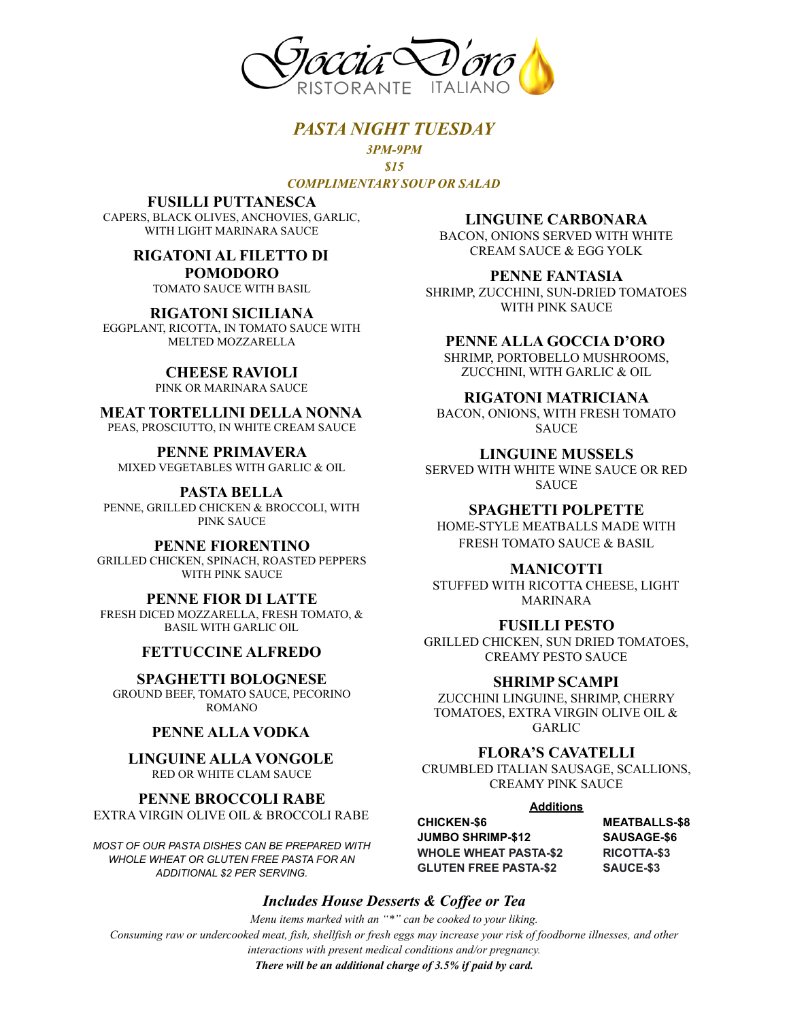

### *PASTA NIGHT TUESDAY*

*3PM-9PM \$15 COMPLIMENTARY SOUP OR SALAD*

#### **FUSILLI PUTTANESCA**

CAPERS, BLACK OLIVES, ANCHOVIES, GARLIC, WITH LIGHT MARINARA SAUCE

#### **RIGATONI AL FILETTO DI POMODORO**

TOMATO SAUCE WITH BASIL

**RIGATONI SICILIANA** EGGPLANT, RICOTTA, IN TOMATO SAUCE WITH MELTED MOZZARELLA

# **CHEESE RAVIOLI**

PINK OR MARINARA SAUCE

#### **MEAT TORTELLINI DELLA NONNA** PEAS, PROSCIUTTO, IN WHITE CREAM SAUCE

**PENNE PRIMAVERA** MIXED VEGETABLES WITH GARLIC & OIL

**PASTA BELLA** PENNE, GRILLED CHICKEN & BROCCOLI, WITH PINK SAUCE

**PENNE FIORENTINO** GRILLED CHICKEN, SPINACH, ROASTED PEPPERS WITH PINK SAUCE

**PENNE FIOR DI LATTE** FRESH DICED MOZZARELLA, FRESH TOMATO, & BASIL WITH GARLIC OIL

## **FETTUCCINE ALFREDO**

**SPAGHETTI BOLOGNESE** GROUND BEEF, TOMATO SAUCE, PECORINO ROMANO

## **PENNE ALLA VODKA**

**LINGUINE ALLA VONGOLE** RED OR WHITE CLAM SAUCE

**PENNE BROCCOLI RABE** EXTRA VIRGIN OLIVE OIL & BROCCOLI RABE

*MOST OF OUR PASTA DISHES CAN BE PREPARED WITH WHOLE WHEAT OR GLUTEN FREE PASTA FOR AN ADDITIONAL \$2 PER SERVING.*

**LINGUINE CARBONARA**

BACON, ONIONS SERVED WITH WHITE CREAM SAUCE & EGG YOLK

**PENNE FANTASIA** SHRIMP, ZUCCHINI, SUN-DRIED TOMATOES WITH PINK SAUCE

#### **PENNE ALLA GOCCIA D'ORO**

SHRIMP, PORTOBELLO MUSHROOMS, ZUCCHINI, WITH GARLIC & OIL

#### **RIGATONI MATRICIANA**

BACON, ONIONS, WITH FRESH TOMATO **SAUCE** 

#### **LINGUINE MUSSELS**

SERVED WITH WHITE WINE SAUCE OR RED SAUCE

#### **SPAGHETTI POLPETTE**

HOME-STYLE MEATBALLS MADE WITH FRESH TOMATO SAUCE & BASIL

#### **MANICOTTI**

STUFFED WITH RICOTTA CHEESE, LIGHT MARINARA

#### **FUSILLI PESTO**

GRILLED CHICKEN, SUN DRIED TOMATOES, CREAMY PESTO SAUCE

#### **SHRIMP SCAMPI**

ZUCCHINI LINGUINE, SHRIMP, CHERRY TOMATOES, EXTRA VIRGIN OLIVE OIL & GARLIC

## **FLORA'S CAVATELLI**

CRUMBLED ITALIAN SAUSAGE, SCALLIONS, CREAMY PINK SAUCE

**Additions**

**JUMBO SHRIMP-\$12 SAUSAGE-\$6 WHOLE WHEAT PASTA-\$2 RICOTTA-\$3 GLUTEN FREE PASTA-\$2 SAUCE-\$3**

**CHICKEN-\$6 MEATBALLS-\$8**

## *Includes House Desserts & Coffee or Tea*

*Menu items marked with an "\*" can be cooked to your liking. Consuming raw or undercooked meat, fish, shellfish or fresh eggs may increase your risk of foodborne illnesses, and other interactions with present medical conditions and/or pregnancy.*

*There will be an additional charge of 3.5% if paid by card.*